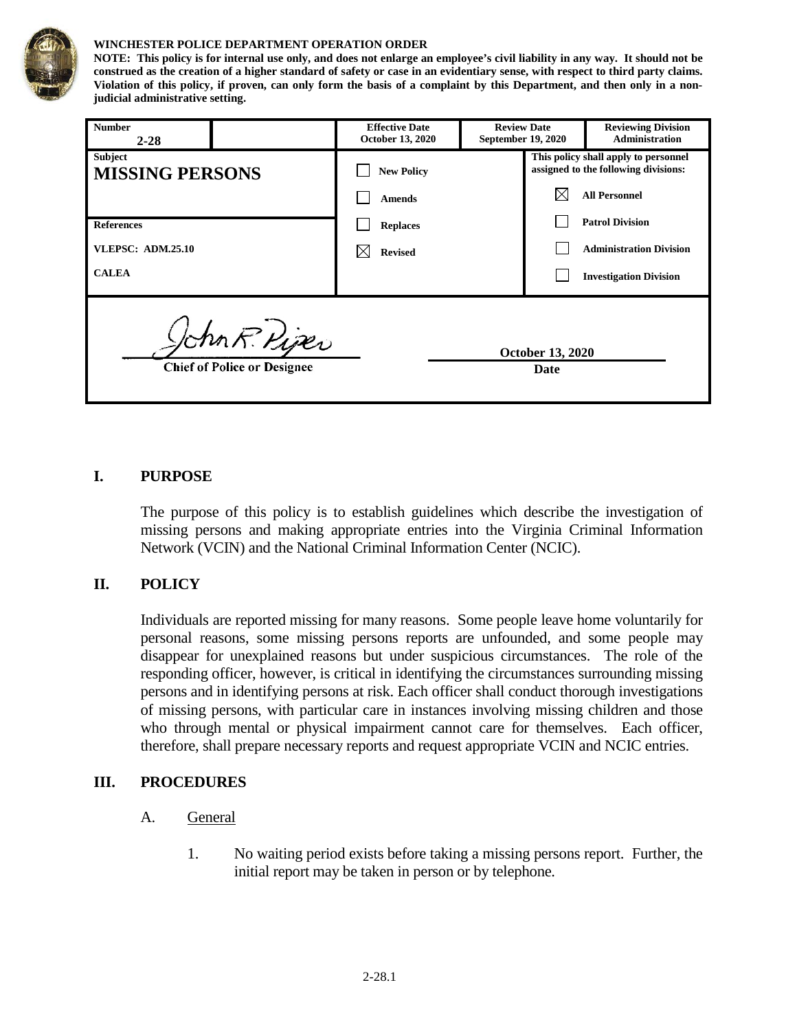

#### **WINCHESTER POLICE DEPARTMENT OPERATION ORDER**

**NOTE: This policy is for internal use only, and does not enlarge an employee's civil liability in any way. It should not be construed as the creation of a higher standard of safety or case in an evidentiary sense, with respect to third party claims. Violation of this policy, if proven, can only form the basis of a complaint by this Department, and then only in a nonjudicial administrative setting.**

| <b>Number</b><br>$2 - 28$                           |  | <b>Effective Date</b><br>October 13, 2020 | <b>Review Date</b><br>September 19, 2020 |  | <b>Reviewing Division</b><br><b>Administration</b>                           |
|-----------------------------------------------------|--|-------------------------------------------|------------------------------------------|--|------------------------------------------------------------------------------|
| <b>Subject</b><br><b>MISSING PERSONS</b>            |  | <b>New Policy</b>                         |                                          |  | This policy shall apply to personnel<br>assigned to the following divisions: |
|                                                     |  | <b>Amends</b>                             |                                          |  | <b>All Personnel</b>                                                         |
| <b>References</b>                                   |  | <b>Replaces</b>                           |                                          |  | <b>Patrol Division</b>                                                       |
| <b>VLEPSC: ADM.25.10</b>                            |  | <b>Revised</b>                            |                                          |  | <b>Administration Division</b>                                               |
| <b>CALEA</b>                                        |  |                                           |                                          |  | <b>Investigation Division</b>                                                |
| John R. Piper<br><b>Chief of Police or Designee</b> |  |                                           | <b>October 13, 2020</b><br>Date          |  |                                                                              |

### **I. PURPOSE**

The purpose of this policy is to establish guidelines which describe the investigation of missing persons and making appropriate entries into the Virginia Criminal Information Network (VCIN) and the National Criminal Information Center (NCIC).

#### **II. POLICY**

Individuals are reported missing for many reasons. Some people leave home voluntarily for personal reasons, some missing persons reports are unfounded, and some people may disappear for unexplained reasons but under suspicious circumstances. The role of the responding officer, however, is critical in identifying the circumstances surrounding missing persons and in identifying persons at risk. Each officer shall conduct thorough investigations of missing persons, with particular care in instances involving missing children and those who through mental or physical impairment cannot care for themselves. Each officer, therefore, shall prepare necessary reports and request appropriate VCIN and NCIC entries.

#### **III. PROCEDURES**

- A. General
	- 1. No waiting period exists before taking a missing persons report. Further, the initial report may be taken in person or by telephone.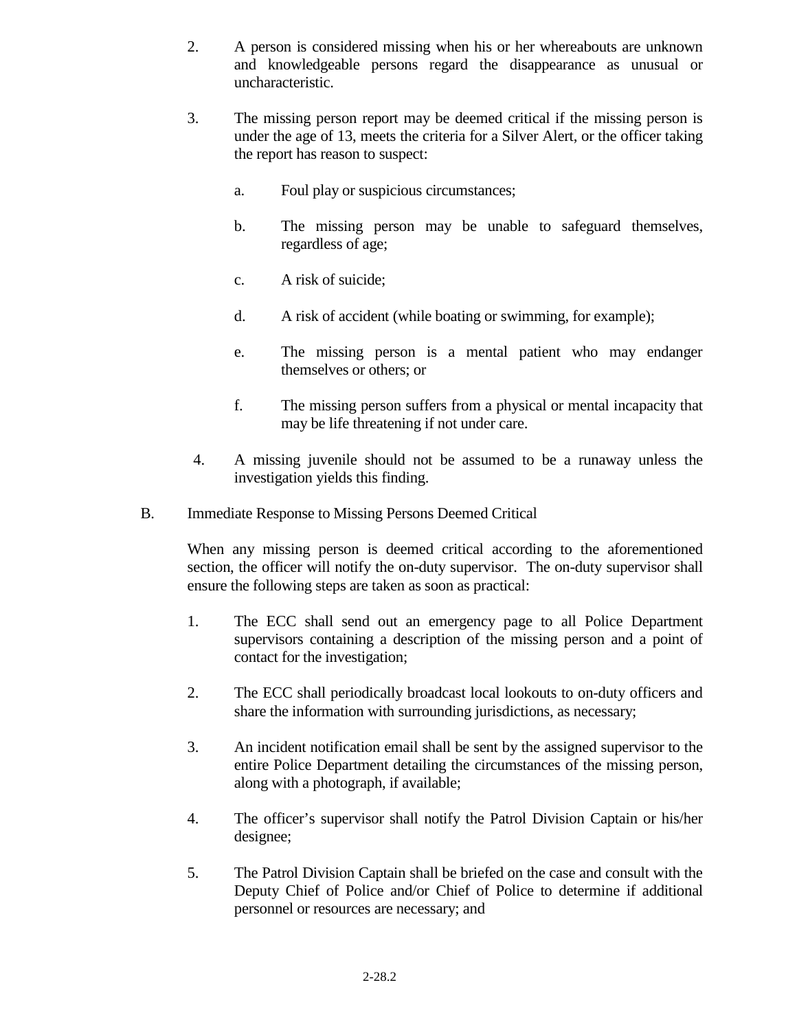- 2. A person is considered missing when his or her whereabouts are unknown and knowledgeable persons regard the disappearance as unusual or uncharacteristic.
- 3. The missing person report may be deemed critical if the missing person is under the age of 13, meets the criteria for a Silver Alert, or the officer taking the report has reason to suspect:
	- a. Foul play or suspicious circumstances;
	- b. The missing person may be unable to safeguard themselves, regardless of age;
	- c. A risk of suicide;
	- d. A risk of accident (while boating or swimming, for example);
	- e. The missing person is a mental patient who may endanger themselves or others; or
	- f. The missing person suffers from a physical or mental incapacity that may be life threatening if not under care.
- 4. A missing juvenile should not be assumed to be a runaway unless the investigation yields this finding.
- B. Immediate Response to Missing Persons Deemed Critical

When any missing person is deemed critical according to the aforementioned section, the officer will notify the on-duty supervisor. The on-duty supervisor shall ensure the following steps are taken as soon as practical:

- 1. The ECC shall send out an emergency page to all Police Department supervisors containing a description of the missing person and a point of contact for the investigation;
- 2. The ECC shall periodically broadcast local lookouts to on-duty officers and share the information with surrounding jurisdictions, as necessary;
- 3. An incident notification email shall be sent by the assigned supervisor to the entire Police Department detailing the circumstances of the missing person, along with a photograph, if available;
- 4. The officer's supervisor shall notify the Patrol Division Captain or his/her designee;
- 5. The Patrol Division Captain shall be briefed on the case and consult with the Deputy Chief of Police and/or Chief of Police to determine if additional personnel or resources are necessary; and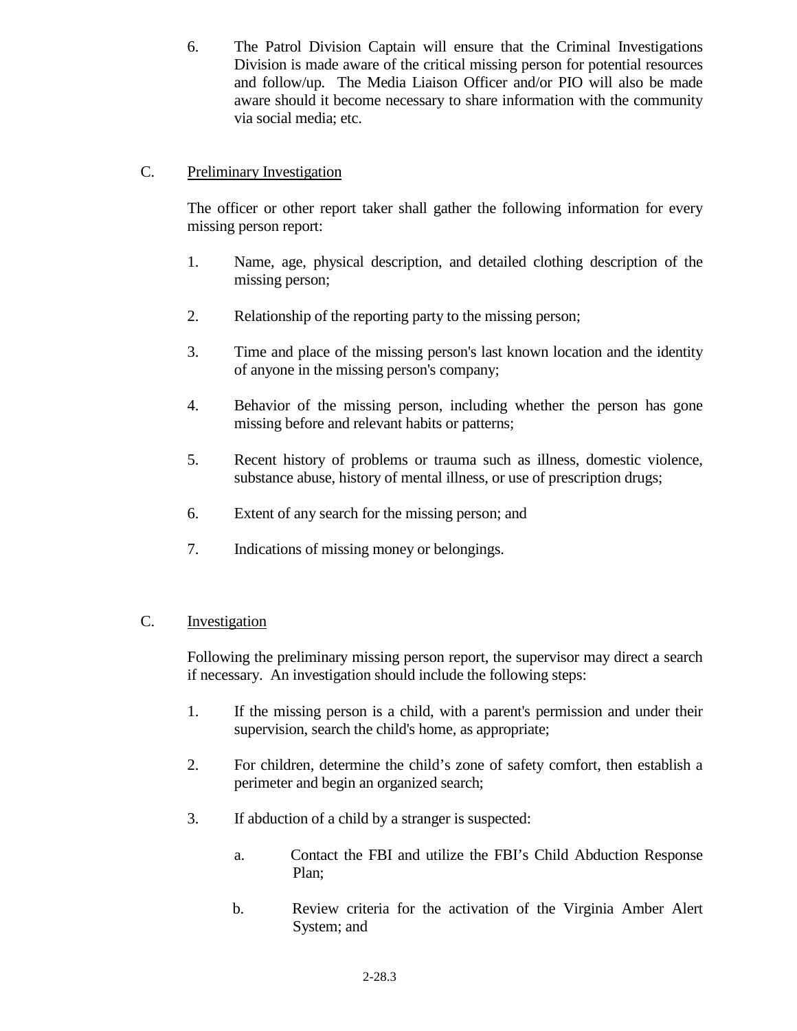6. The Patrol Division Captain will ensure that the Criminal Investigations Division is made aware of the critical missing person for potential resources and follow/up. The Media Liaison Officer and/or PIO will also be made aware should it become necessary to share information with the community via social media; etc.

## C. Preliminary Investigation

The officer or other report taker shall gather the following information for every missing person report:

- 1. Name, age, physical description, and detailed clothing description of the missing person;
- 2. Relationship of the reporting party to the missing person;
- 3. Time and place of the missing person's last known location and the identity of anyone in the missing person's company;
- 4. Behavior of the missing person, including whether the person has gone missing before and relevant habits or patterns;
- 5. Recent history of problems or trauma such as illness, domestic violence, substance abuse, history of mental illness, or use of prescription drugs;
- 6. Extent of any search for the missing person; and
- 7. Indications of missing money or belongings.

### C. Investigation

Following the preliminary missing person report, the supervisor may direct a search if necessary. An investigation should include the following steps:

- 1. If the missing person is a child, with a parent's permission and under their supervision, search the child's home, as appropriate;
- 2. For children, determine the child's zone of safety comfort, then establish a perimeter and begin an organized search;
- 3. If abduction of a child by a stranger is suspected:
	- a. Contact the FBI and utilize the FBI's Child Abduction Response Plan;
	- b. Review criteria for the activation of the Virginia Amber Alert System; and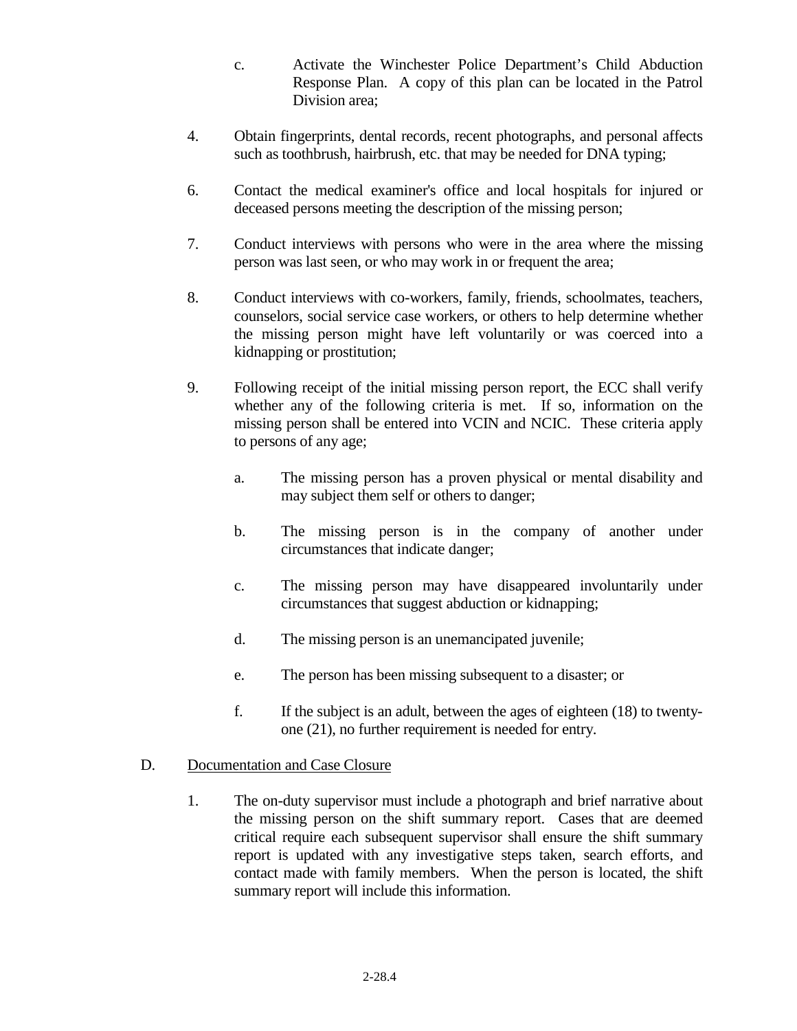- c. Activate the Winchester Police Department's Child Abduction Response Plan. A copy of this plan can be located in the Patrol Division area;
- 4. Obtain fingerprints, dental records, recent photographs, and personal affects such as toothbrush, hairbrush, etc. that may be needed for DNA typing;
- 6. Contact the medical examiner's office and local hospitals for injured or deceased persons meeting the description of the missing person;
- 7. Conduct interviews with persons who were in the area where the missing person was last seen, or who may work in or frequent the area;
- 8. Conduct interviews with co-workers, family, friends, schoolmates, teachers, counselors, social service case workers, or others to help determine whether the missing person might have left voluntarily or was coerced into a kidnapping or prostitution;
- 9. Following receipt of the initial missing person report, the ECC shall verify whether any of the following criteria is met. If so, information on the missing person shall be entered into VCIN and NCIC. These criteria apply to persons of any age;
	- a. The missing person has a proven physical or mental disability and may subject them self or others to danger;
	- b. The missing person is in the company of another under circumstances that indicate danger;
	- c. The missing person may have disappeared involuntarily under circumstances that suggest abduction or kidnapping;
	- d. The missing person is an unemancipated juvenile;
	- e. The person has been missing subsequent to a disaster; or
	- f. If the subject is an adult, between the ages of eighteen (18) to twentyone (21), no further requirement is needed for entry.

### D. Documentation and Case Closure

1. The on-duty supervisor must include a photograph and brief narrative about the missing person on the shift summary report. Cases that are deemed critical require each subsequent supervisor shall ensure the shift summary report is updated with any investigative steps taken, search efforts, and contact made with family members. When the person is located, the shift summary report will include this information.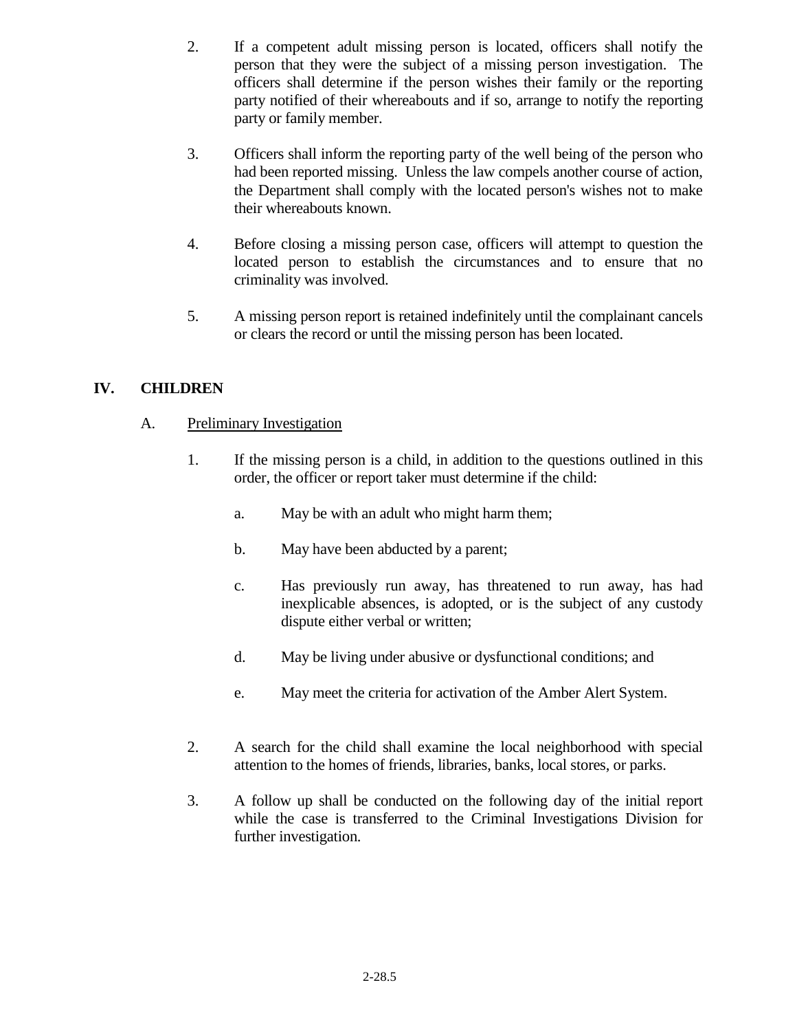- 2. If a competent adult missing person is located, officers shall notify the person that they were the subject of a missing person investigation. The officers shall determine if the person wishes their family or the reporting party notified of their whereabouts and if so, arrange to notify the reporting party or family member.
- 3. Officers shall inform the reporting party of the well being of the person who had been reported missing. Unless the law compels another course of action, the Department shall comply with the located person's wishes not to make their whereabouts known.
- 4. Before closing a missing person case, officers will attempt to question the located person to establish the circumstances and to ensure that no criminality was involved.
- 5. A missing person report is retained indefinitely until the complainant cancels or clears the record or until the missing person has been located.

# **IV. CHILDREN**

- A. Preliminary Investigation
	- 1. If the missing person is a child, in addition to the questions outlined in this order, the officer or report taker must determine if the child:
		- a. May be with an adult who might harm them;
		- b. May have been abducted by a parent;
		- c. Has previously run away, has threatened to run away, has had inexplicable absences, is adopted, or is the subject of any custody dispute either verbal or written;
		- d. May be living under abusive or dysfunctional conditions; and
		- e. May meet the criteria for activation of the Amber Alert System.
	- 2. A search for the child shall examine the local neighborhood with special attention to the homes of friends, libraries, banks, local stores, or parks.
	- 3. A follow up shall be conducted on the following day of the initial report while the case is transferred to the Criminal Investigations Division for further investigation.